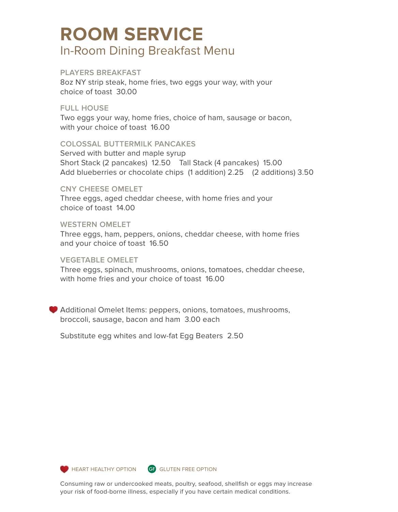# **ROOM SERVICE** In-Room Dining Breakfast Menu

# **PLAYERS BREAKFAST**

8oz NY strip steak, home fries, two eggs your way, with your choice of toast 30.00

# **FULL HOUSE**

Two eggs your way, home fries, choice of ham, sausage or bacon, with your choice of toast 16.00

# **COLOSSAL BUTTERMILK PANCAKES**

Served with butter and maple syrup Short Stack (2 pancakes) 12.50 Tall Stack (4 pancakes) 15.00 Add blueberries or chocolate chips (1 addition) 2.25 (2 additions) 3.50

#### **CNY CHEESE OMELET**

Three eggs, aged cheddar cheese, with home fries and your choice of toast 14.00

# **WESTERN OMELET**

Three eggs, ham, peppers, onions, cheddar cheese, with home fries and your choice of toast 16.50

# **VEGETABLE OMELET**

Three eggs, spinach, mushrooms, onions, tomatoes, cheddar cheese, with home fries and your choice of toast 16.00

Additional Omelet Items: peppers, onions, tomatoes, mushrooms, broccoli, sausage, bacon and ham 3.00 each

Substitute egg whites and low-fat Egg Beaters 2.50





**HEART HEALTHY OPTION GF GLUTEN FREE OPTION** 

Consuming raw or undercooked meats, poultry, seafood, shellfish or eggs may increase your risk of food-borne illness, especially if you have certain medical conditions.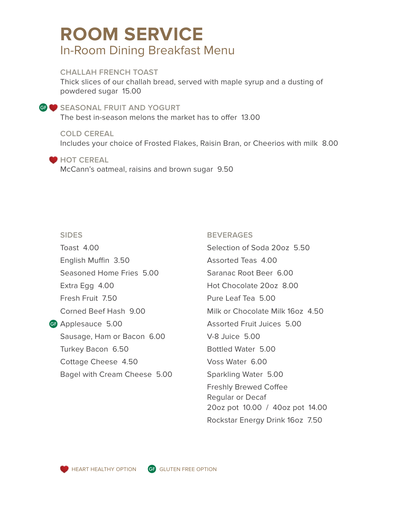# **ROOM SERVICE** In-Room Dining Breakfast Menu

# **CHALLAH FRENCH TOAST**

Thick slices of our challah bread, served with maple syrup and a dusting of powdered sugar 15.00

## **SEASONAL FRUIT AND YOGURT**

The best in-season melons the market has to offer 13.00

**COLD CEREAL** Includes your choice of Frosted Flakes, Raisin Bran, or Cheerios with milk 8.00

#### **HOT CEREAL**

McCann's oatmeal, raisins and brown sugar 9.50

## **SIDES**

GF Applesauce 5.00 Toast 4.00 English Muffin 3.50 Seasoned Home Fries 5.00 Extra Egg 4.00 Fresh Fruit 7.50 Corned Beef Hash 9.00 Sausage, Ham or Bacon 6.00 Turkey Bacon 6.50 Cottage Cheese 4.50 Bagel with Cream Cheese 5.00

# **BEVERAGES**

Selection of Soda 20oz 5.50 Assorted Teas 4.00 Saranac Root Beer 6.00 Hot Chocolate 20oz 8.00 Pure Leaf Tea 5.00 Milk or Chocolate Milk 16oz 4.50 Assorted Fruit Juices 5.00 V-8 Juice 5.00 Bottled Water 5.00 Voss Water 6.00 Sparkling Water 5.00 Freshly Brewed Coffee Regular or Decaf 20oz pot 10.00 / 40oz pot 14.00 Rockstar Energy Drink 16oz 7.50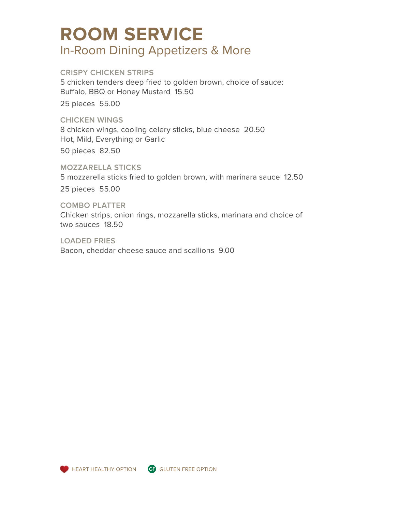# **ROOM SERVICE** In-Room Dining Appetizers & More

# **CRISPY CHICKEN STRIPS**

5 chicken tenders deep fried to golden brown, choice of sauce: Buffalo, BBQ or Honey Mustard 15.50

25 pieces 55.00

#### **CHICKEN WINGS**

8 chicken wings, cooling celery sticks, blue cheese 20.50 Hot, Mild, Everything or Garlic

50 pieces 82.50

#### **MOZZARELLA STICKS**

5 mozzarella sticks fried to golden brown, with marinara sauce 12.50

25 pieces 55.00

#### **COMBO PLATTER**

Chicken strips, onion rings, mozzarella sticks, marinara and choice of two sauces 18.50

**LOADED FRIES**

Bacon, cheddar cheese sauce and scallions 9.00





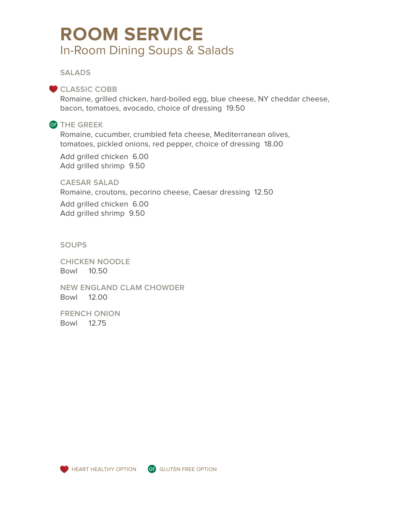# **ROOM SERVICE** In-Room Dining Soups & Salads

**SALADS** 

# CLASSIC COBB

Romaine, grilled chicken, hard-boiled egg, blue cheese, NY cheddar cheese, bacon, tomatoes, avocado, choice of dressing 19.50

# **THE GREEK** GF

Romaine, cucumber, crumbled feta cheese, Mediterranean olives, tomatoes, pickled onions, red pepper, choice of dressing 18.00

Add grilled chicken 6.00 Add grilled shrimp 9.50

**CAESAR SALAD**

Romaine, croutons, pecorino cheese, Caesar dressing 12.50

Add grilled chicken 6.00 Add grilled shrimp 9.50

#### **SOUPS**

**CHICKEN NOODLE** Bowl 10.50

**NEW ENGLAND CLAM CHOWDER** Bowl 12.00

**FRENCH ONION** Bowl 12.75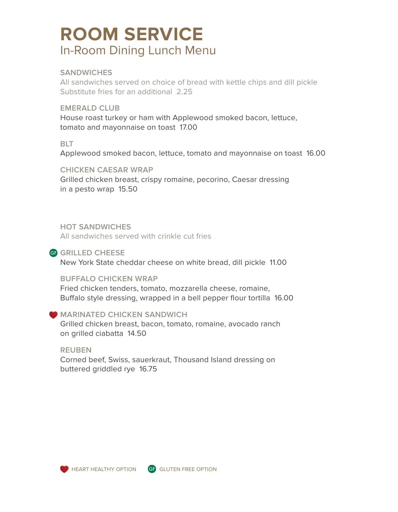# **ROOM SERVICE** In-Room Dining Lunch Menu

# **SANDWICHES**

All sandwiches served on choice of bread with kettle chips and dill pickle Substitute fries for an additional 2.25

# **EMERALD CLUB**

House roast turkey or ham with Applewood smoked bacon, lettuce, tomato and mayonnaise on toast 17.00

# **BLT**

Applewood smoked bacon, lettuce, tomato and mayonnaise on toast 16.00

**CHICKEN CAESAR WRAP** Grilled chicken breast, crispy romaine, pecorino, Caesar dressing in a pesto wrap 15.50

# **HOT SANDWICHES**

All sandwiches served with crinkle cut fries

# GF GRILLED CHEESE

New York State cheddar cheese on white bread, dill pickle 11.00

#### **BUFFALO CHICKEN WRAP**

Fried chicken tenders, tomato, mozzarella cheese, romaine, Buffalo style dressing, wrapped in a bell pepper flour tortilla 16.00

# **MARINATED CHICKEN SANDWICH**

Grilled chicken breast, bacon, tomato, romaine, avocado ranch on grilled ciabatta 14.50

**REUBEN**  Corned beef, Swiss, sauerkraut, Thousand Island dressing on buttered griddled rye 16.75



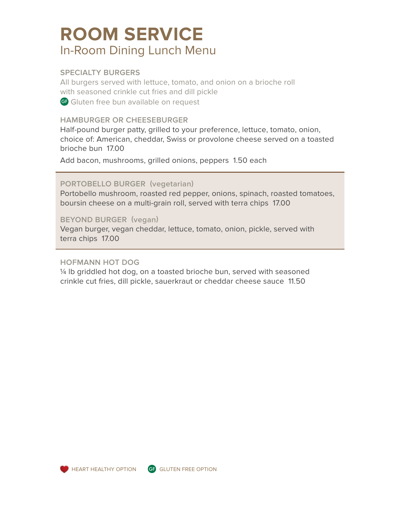# **ROOM SERVICE** In-Room Dining Lunch Menu

# **SPECIALTY BURGERS**

All burgers served with lettuce, tomato, and onion on a brioche roll with seasoned crinkle cut fries and dill pickle GF Gluten free bun available on request

# **HAMBURGER OR CHEESEBURGER**

Half-pound burger patty, grilled to your preference, lettuce, tomato, onion, choice of: American, cheddar, Swiss or provolone cheese served on a toasted brioche bun 17.00

Add bacon, mushrooms, grilled onions, peppers 1.50 each

# **PORTOBELLO BURGER (vegetarian)**

Portobello mushroom, roasted red pepper, onions, spinach, roasted tomatoes, boursin cheese on a multi-grain roll, served with terra chips 17.00

#### **BEYOND BURGER (vegan)**

Vegan burger, vegan cheddar, lettuce, tomato, onion, pickle, served with terra chips 17.00

#### **HOFMANN HOT DOG**

¼ lb griddled hot dog, on a toasted brioche bun, served with seasoned crinkle cut fries, dill pickle, sauerkraut or cheddar cheese sauce 11.50





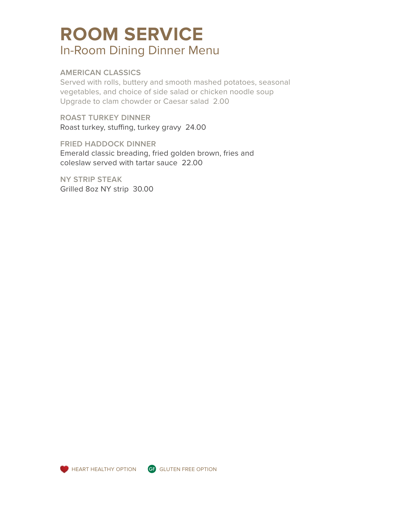# **ROOM SERVICE** In-Room Dining Dinner Menu

# **AMERICAN CLASSICS**

Served with rolls, buttery and smooth mashed potatoes, seasonal vegetables, and choice of side salad or chicken noodle soup Upgrade to clam chowder or Caesar salad 2.00

**ROAST TURKEY DINNER** Roast turkey, stuffing, turkey gravy 24.00

**FRIED HADDOCK DINNER** Emerald classic breading, fried golden brown, fries and coleslaw served with tartar sauce 22.00

**NY STRIP STEAK** Grilled 8oz NY strip 30.00



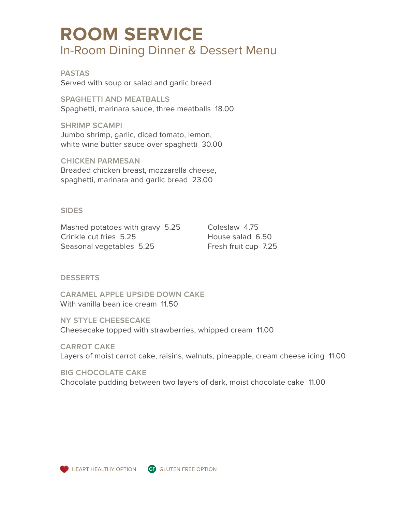# **ROOM SERVICE** In-Room Dining Dinner & Dessert Menu

**PASTAS** Served with soup or salad and garlic bread

**SPAGHETTI AND MEATBALLS** Spaghetti, marinara sauce, three meatballs 18.00

**SHRIMP SCAMPI** Jumbo shrimp, garlic, diced tomato, lemon, white wine butter sauce over spaghetti 30.00

**CHICKEN PARMESAN** Breaded chicken breast, mozzarella cheese, spaghetti, marinara and garlic bread 23.00

# **SIDES**

Mashed potatoes with gravy 5.25 Crinkle cut fries 5.25 Seasonal vegetables 5.25

Coleslaw 4.75 House salad 6.50 Fresh fruit cup 7.25

# **DESSERTS**

**CARAMEL APPLE UPSIDE DOWN CAKE** With vanilla bean ice cream 11.50

**NY STYLE CHEESECAKE** Cheesecake topped with strawberries, whipped cream 11.00

**CARROT CAKE** Layers of moist carrot cake, raisins, walnuts, pineapple, cream cheese icing 11.00

**BIG CHOCOLATE CAKE** Chocolate pudding between two layers of dark, moist chocolate cake 11.00



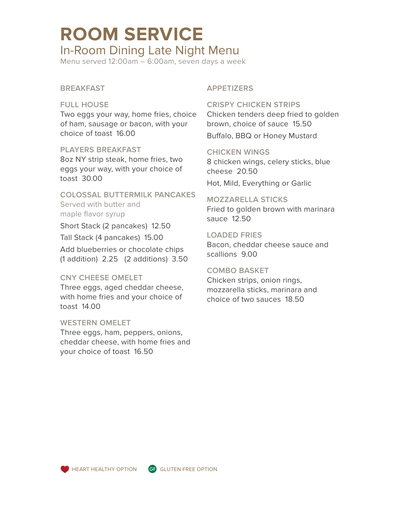# **ROOM SERVICE** In-Room Dining Late Night Menu

Menu served 12:00am – 6:00am, seven days a week

# **BREAKFAST**

#### **FULL HOUSE**

Two eggs your way, home fries, choice of ham, sausage or bacon, with your choice of toast 16.00

# **PLAYERS BREAKFAST**

8oz NY strip steak, home fries, two eggs your way, with your choice of toast 30.00

**COLOSSAL BUTTERMILK PANCAKES** Served with butter and maple flavor syrup

Short Stack (2 pancakes) 12.50

Tall Stack (4 pancakes) 15.00

Add blueberries or chocolate chips (1 addition) 2.25 (2 additions) 3.50

# **CNY CHEESE OMELET**

Three eggs, aged cheddar cheese, with home fries and your choice of toast 14.00

#### **WESTERN OMELET**

Three eggs, ham, peppers, onions, cheddar cheese, with home fries and your choice of toast 16.50

## **APPETIZERS**

**CRISPY CHICKEN STRIPS** Chicken tenders deep fried to golden brown, choice of sauce 15.50 Buffalo, BBQ or Honey Mustard

#### **CHICKEN WINGS**

8 chicken wings, celery sticks, blue cheese 20.50 Hot, Mild, Everything or Garlic

## **MOZZARELLA STICKS** Fried to golden brown with marinara

sauce 12.50

## **LOADED FRIES**

Bacon, cheddar cheese sauce and scallions 9.00

## **COMBO BASKET**

Chicken strips, onion rings, mozzarella sticks, marinara and choice of two sauces 18.50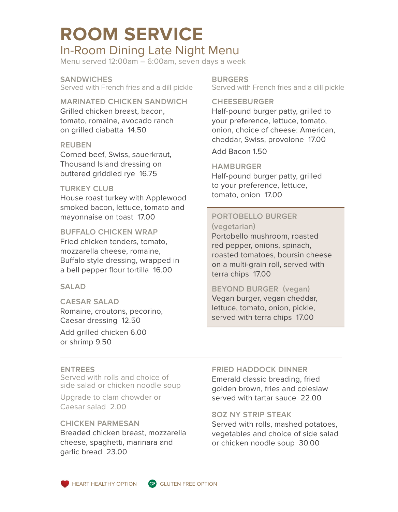# **ROOM SERVICE**

# In-Room Dining Late Night Menu

Menu served 12:00am – 6:00am, seven days a week

**SANDWICHES** Served with French fries and a dill pickle

**MARINATED CHICKEN SANDWICH**

Grilled chicken breast, bacon, tomato, romaine, avocado ranch on grilled ciabatta 14.50

## **REUBEN**

Corned beef, Swiss, sauerkraut, Thousand Island dressing on buttered griddled rye 16.75

## **TURKEY CLUB**

House roast turkey with Applewood smoked bacon, lettuce, tomato and mayonnaise on toast 17.00

# **BUFFALO CHICKEN WRAP**

Fried chicken tenders, tomato, mozzarella cheese, romaine, Buffalo style dressing, wrapped in a bell pepper flour tortilla 16.00

#### **SALAD**

#### **CAESAR SALAD**

Romaine, croutons, pecorino, Caesar dressing 12.50

Add grilled chicken 6.00 or shrimp 9.50

**BURGERS** Served with French fries and a dill pickle

## **CHEESEBURGER**

Half-pound burger patty, grilled to your preference, lettuce, tomato, onion, choice of cheese: American, cheddar, Swiss, provolone 17.00

Add Bacon 1.50

## **HAMBURGER**

Half-pound burger patty, grilled to your preference, lettuce, tomato, onion 17.00

# **PORTOBELLO BURGER (vegetarian)**

Portobello mushroom, roasted red pepper, onions, spinach, roasted tomatoes, boursin cheese on a multi-grain roll, served with terra chips 17.00

# **BEYOND BURGER (vegan)**

Vegan burger, vegan cheddar, lettuce, tomato, onion, pickle, served with terra chips 17.00

#### **ENTREES**

Served with rolls and choice of side salad or chicken noodle soup

Upgrade to clam chowder or Caesar salad 2.00

# **CHICKEN PARMESAN**

Breaded chicken breast, mozzarella cheese, spaghetti, marinara and garlic bread 23.00

#### **FRIED HADDOCK DINNER**

Emerald classic breading, fried golden brown, fries and coleslaw served with tartar sauce 22.00

#### **8OZ NY STRIP STEAK**

Served with rolls, mashed potatoes, vegetables and choice of side salad or chicken noodle soup 30.00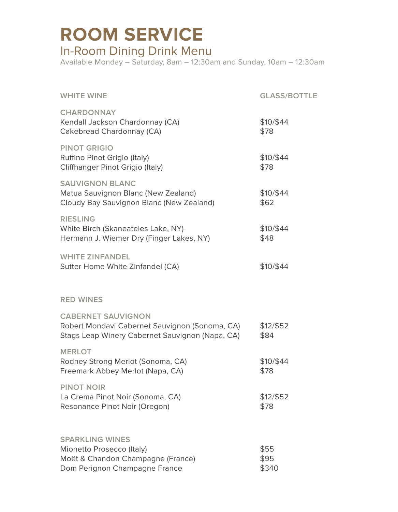# **ROOM SERVICE** In-Room Dining Drink Menu

Available Monday – Saturday, 8am – 12:30am and Sunday, 10am – 12:30am

| <b>WHITE WINE</b>                                                                                                              | <b>GLASS/BOTTLE</b>   |
|--------------------------------------------------------------------------------------------------------------------------------|-----------------------|
| <b>CHARDONNAY</b><br>Kendall Jackson Chardonnay (CA)<br>Cakebread Chardonnay (CA)                                              | \$10/\$44<br>\$78     |
| <b>PINOT GRIGIO</b><br>Ruffino Pinot Grigio (Italy)<br>Cliffhanger Pinot Grigio (Italy)                                        | \$10/\$44<br>\$78     |
| <b>SAUVIGNON BLANC</b><br>Matua Sauvignon Blanc (New Zealand)<br>Cloudy Bay Sauvignon Blanc (New Zealand)                      | \$10/\$44<br>\$62     |
| <b>RIESLING</b><br>White Birch (Skaneateles Lake, NY)<br>Hermann J. Wiemer Dry (Finger Lakes, NY)                              | \$10/\$44<br>\$48     |
| <b>WHITE ZINFANDEL</b><br>Sutter Home White Zinfandel (CA)                                                                     | \$10/\$44             |
| <b>RED WINES</b>                                                                                                               |                       |
| <b>CABERNET SAUVIGNON</b><br>Robert Mondavi Cabernet Sauvignon (Sonoma, CA)<br>Stags Leap Winery Cabernet Sauvignon (Napa, CA) | \$12/\$52<br>\$84     |
| <b>MERLOT</b><br>Rodney Strong Merlot (Sonoma, CA)<br>Freemark Abbey Merlot (Napa, CA)                                         | \$10/\$44<br>\$78     |
| <b>PINOT NOIR</b><br>La Crema Pinot Noir (Sonoma, CA)<br>Resonance Pinot Noir (Oregon)                                         | \$12/\$52<br>\$78     |
| <b>SPARKLING WINES</b><br>Mionetto Prosecco (Italy)<br>Moët & Chandon Champagne (France)<br>Dom Perignon Champagne France      | \$55<br>\$95<br>\$340 |